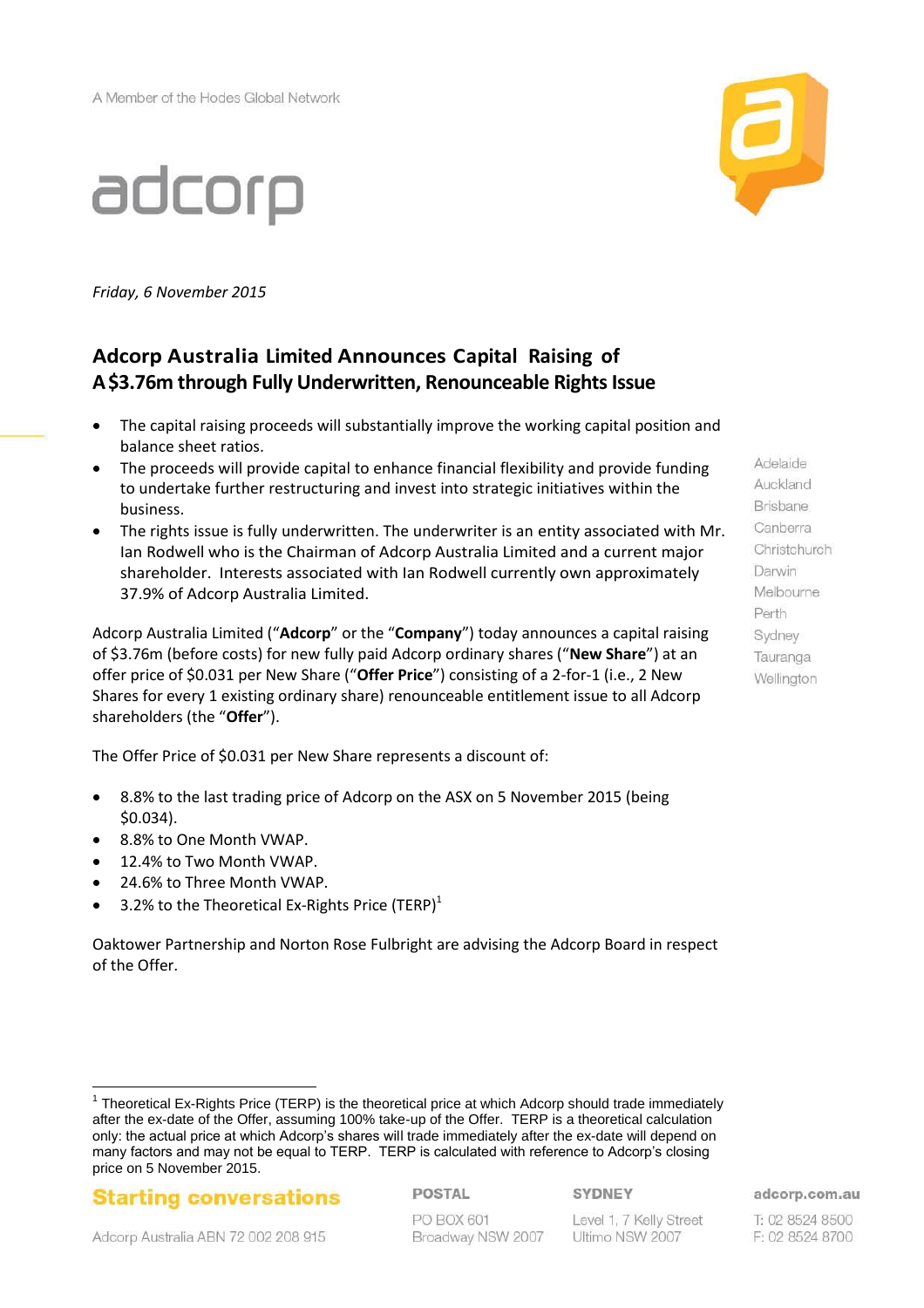

# adcorp

*Friday, 6 November 2015*

# **Adcorp Australia Limited Announces Capital Raising of A\$3.76m through Fully Underwritten, Renounceable Rights Issue**

- The capital raising proceeds will substantially improve the working capital position and balance sheet ratios.
- The proceeds will provide capital to enhance financial flexibility and provide funding to undertake further restructuring and invest into strategic initiatives within the business.
- The rights issue is fully underwritten. The underwriter is an entity associated with Mr. Ian Rodwell who is the Chairman of Adcorp Australia Limited and a current major shareholder. Interests associated with Ian Rodwell currently own approximately 37.9% of Adcorp Australia Limited.

Adcorp Australia Limited ("**Adcorp**" or the "**Company**") today announces a capital raising of \$3.76m (before costs) for new fully paid Adcorp ordinary shares ("**New Share**") at an offer price of \$0.031 per New Share ("**Offer Price**") consisting of a 2-for-1 (i.e., 2 New Shares for every 1 existing ordinary share) renounceable entitlement issue to all Adcorp shareholders (the "**Offer**").

The Offer Price of \$0.031 per New Share represents a discount of:

- 8.8% to the last trading price of Adcorp on the ASX on 5 November 2015 (being \$0.034).
- 8.8% to One Month VWAP.
- 12.4% to Two Month VWAP.
- 24.6% to Three Month VWAP.
- 3.2% to the Theoretical Ex-Rights Price (TERP) $<sup>1</sup>$ </sup>

Oaktower Partnership and Norton Rose Fulbright are advising the Adcorp Board in respect of the Offer.

**Starting conversations** 

POSTAL PO BOX 601

Level 1, 7 Kelly Street Broadway NSW 2007 Ultimo NSW 2007

Auckland Brisbane Canberra Christchurch Darwin Melbourne Perth **Sydney** Tauranga Wellington

Adelaide

adcorp.com.au

T: 02 8524 8500 F: 02 8524 8700

 $\overline{a}$ <sup>1</sup> Theoretical Ex-Rights Price (TERP) is the theoretical price at which Adcorp should trade immediately after the ex-date of the Offer, assuming 100% take-up of the Offer. TERP is a theoretical calculation only: the actual price at which Adcorp's shares will trade immediately after the ex-date will depend on many factors and may not be equal to TERP. TERP is calculated with reference to Adcorp's closing price on 5 November 2015.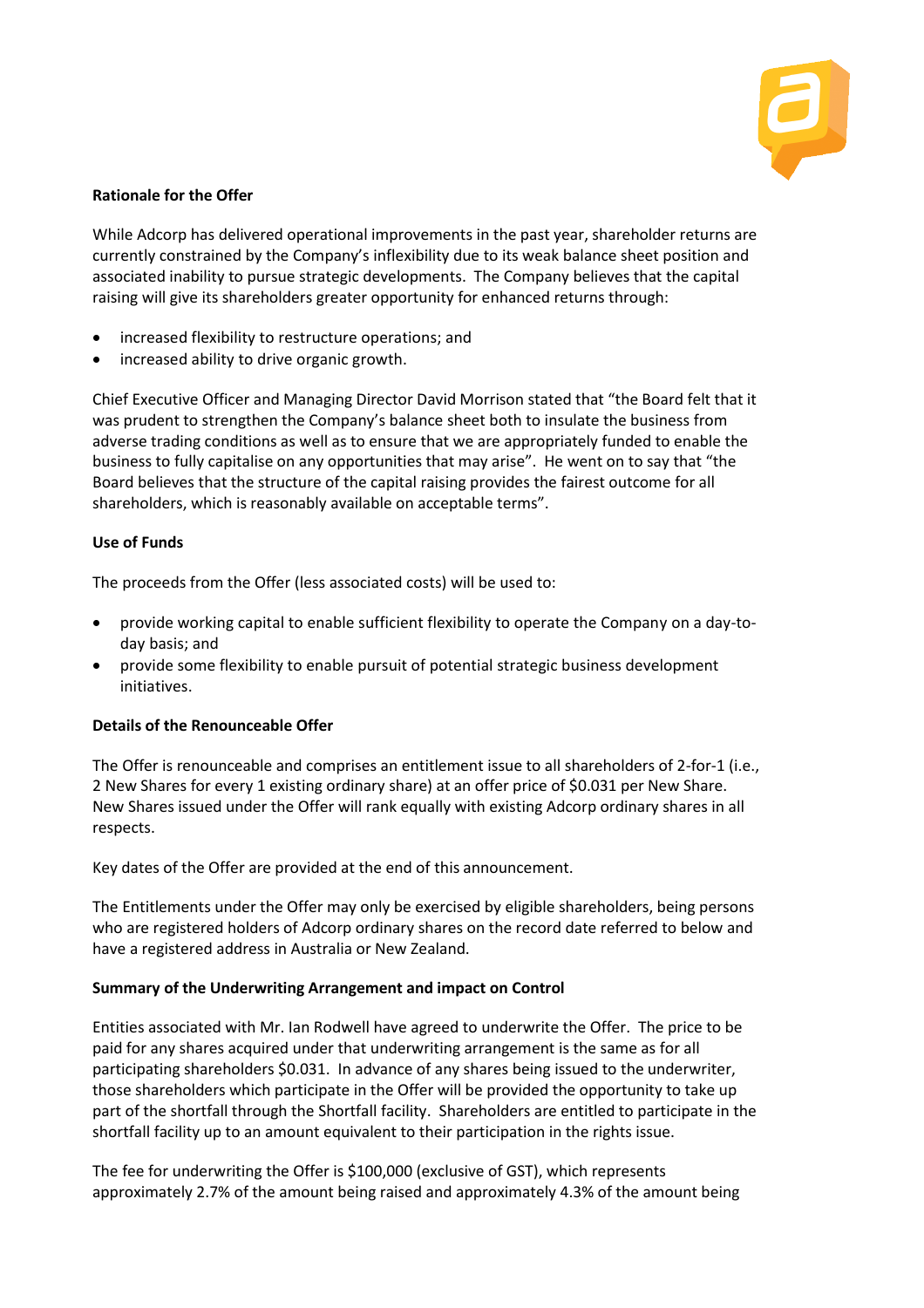

# **Rationale for the Offer**

While Adcorp has delivered operational improvements in the past year, shareholder returns are currently constrained by the Company's inflexibility due to its weak balance sheet position and associated inability to pursue strategic developments. The Company believes that the capital raising will give its shareholders greater opportunity for enhanced returns through:

- increased flexibility to restructure operations; and
- increased ability to drive organic growth.

Chief Executive Officer and Managing Director David Morrison stated that "the Board felt that it was prudent to strengthen the Company's balance sheet both to insulate the business from adverse trading conditions as well as to ensure that we are appropriately funded to enable the business to fully capitalise on any opportunities that may arise". He went on to say that "the Board believes that the structure of the capital raising provides the fairest outcome for all shareholders, which is reasonably available on acceptable terms".

## **Use of Funds**

The proceeds from the Offer (less associated costs) will be used to:

- provide working capital to enable sufficient flexibility to operate the Company on a day-today basis; and
- provide some flexibility to enable pursuit of potential strategic business development initiatives.

#### **Details of the Renounceable Offer**

The Offer is renounceable and comprises an entitlement issue to all shareholders of 2-for-1 (i.e., 2 New Shares for every 1 existing ordinary share) at an offer price of \$0.031 per New Share. New Shares issued under the Offer will rank equally with existing Adcorp ordinary shares in all respects.

Key dates of the Offer are provided at the end of this announcement.

The Entitlements under the Offer may only be exercised by eligible shareholders, being persons who are registered holders of Adcorp ordinary shares on the record date referred to below and have a registered address in Australia or New Zealand.

#### **Summary of the Underwriting Arrangement and impact on Control**

Entities associated with Mr. Ian Rodwell have agreed to underwrite the Offer. The price to be paid for any shares acquired under that underwriting arrangement is the same as for all participating shareholders \$0.031. In advance of any shares being issued to the underwriter, those shareholders which participate in the Offer will be provided the opportunity to take up part of the shortfall through the Shortfall facility. Shareholders are entitled to participate in the shortfall facility up to an amount equivalent to their participation in the rights issue.

The fee for underwriting the Offer is \$100,000 (exclusive of GST), which represents approximately 2.7% of the amount being raised and approximately 4.3% of the amount being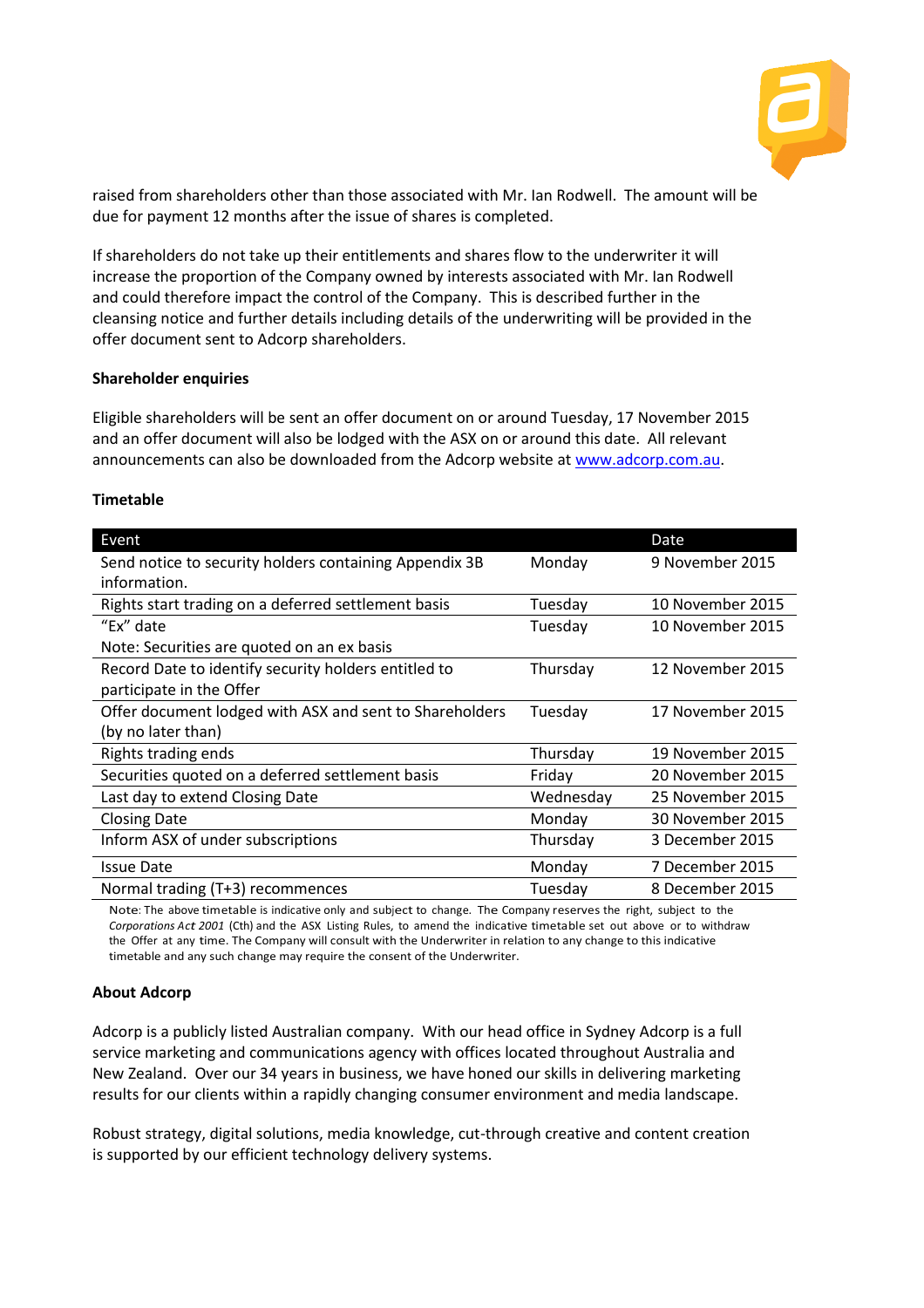

raised from shareholders other than those associated with Mr. Ian Rodwell. The amount will be due for payment 12 months after the issue of shares is completed.

If shareholders do not take up their entitlements and shares flow to the underwriter it will increase the proportion of the Company owned by interests associated with Mr. Ian Rodwell and could therefore impact the control of the Company. This is described further in the cleansing notice and further details including details of the underwriting will be provided in the offer document sent to Adcorp shareholders.

#### **Shareholder enquiries**

Eligible shareholders will be sent an offer document on or around Tuesday, 17 November 2015 and an offer document will also be lodged with the ASX on or around this date. All relevant announcements can also be downloaded from the Adcorp website at [www.adcorp.com.au.](http://www.adcorp.com.au/)

#### **Timetable**

| Event                                                   |           | <b>Date</b>      |
|---------------------------------------------------------|-----------|------------------|
| Send notice to security holders containing Appendix 3B  | Monday    | 9 November 2015  |
| information.                                            |           |                  |
| Rights start trading on a deferred settlement basis     | Tuesday   | 10 November 2015 |
| "Ex" date                                               | Tuesday   | 10 November 2015 |
| Note: Securities are quoted on an ex basis              |           |                  |
| Record Date to identify security holders entitled to    | Thursday  | 12 November 2015 |
| participate in the Offer                                |           |                  |
| Offer document lodged with ASX and sent to Shareholders | Tuesday   | 17 November 2015 |
| (by no later than)                                      |           |                  |
| Rights trading ends                                     | Thursday  | 19 November 2015 |
| Securities quoted on a deferred settlement basis        | Friday    | 20 November 2015 |
| Last day to extend Closing Date                         | Wednesday | 25 November 2015 |
| <b>Closing Date</b>                                     | Monday    | 30 November 2015 |
| Inform ASX of under subscriptions                       | Thursday  | 3 December 2015  |
| <b>Issue Date</b>                                       | Monday    | 7 December 2015  |
| Normal trading (T+3) recommences                        | Tuesday   | 8 December 2015  |

Note: The above timetable is indicative only and subject to change. The Company reserves the right, subject to the *Corporations Act 2001* (Cth) and the ASX Listing Rules, to amend the indicative timetable set out above or to withdraw the Offer at any time. The Company will consult with the Underwriter in relation to any change to this indicative timetable and any such change may require the consent of the Underwriter.

#### **About Adcorp**

Adcorp is a publicly listed Australian company. With our head office in Sydney Adcorp is a full service marketing and communications agency with offices located throughout Australia and New Zealand. Over our 34 years in business, we have honed our skills in delivering marketing results for our clients within a rapidly changing consumer environment and media landscape.

Robust strategy, digital solutions, media knowledge, cut-through creative and content creation is supported by our efficient technology delivery systems.